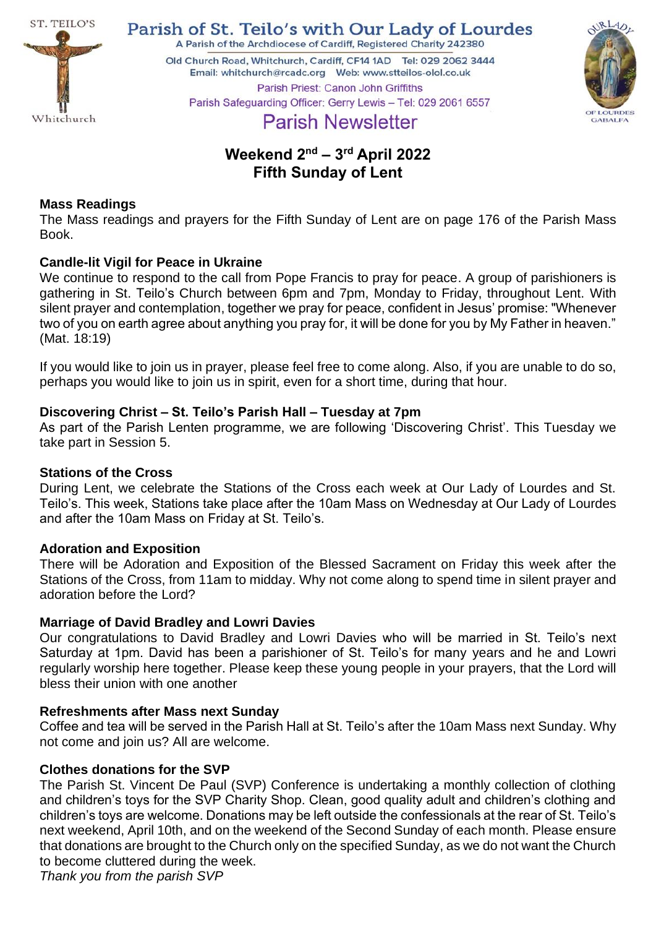

Parish of St. Teilo's with Our Lady of Lourdes

A Parish of the Archdiocese of Cardiff, Registered Charity 242380

Old Church Road, Whitchurch, Cardiff, CF14 1AD Tel: 029 2062 3444 Parish Priest: Canon John Griffiths Parish Safeguarding Officer: Gerry Lewis - Tel: 029 2061 6557



# **Parish Newsletter**

# **Weekend 2 nd – 3 rd April 2022 Fifth Sunday of Lent**

# **Mass Readings**

The Mass readings and prayers for the Fifth Sunday of Lent are on page 176 of the Parish Mass Book.

# **Candle-lit Vigil for Peace in Ukraine**

We continue to respond to the call from Pope Francis to pray for peace. A group of parishioners is gathering in St. Teilo's Church between 6pm and 7pm, Monday to Friday, throughout Lent. With silent prayer and contemplation, together we pray for peace, confident in Jesus' promise: "Whenever two of you on earth agree about anything you pray for, it will be done for you by My Father in heaven." (Mat. 18:19)

If you would like to join us in prayer, please feel free to come along. Also, if you are unable to do so, perhaps you would like to join us in spirit, even for a short time, during that hour.

# **Discovering Christ – St. Teilo's Parish Hall – Tuesday at 7pm**

As part of the Parish Lenten programme, we are following 'Discovering Christ'. This Tuesday we take part in Session 5.

# **Stations of the Cross**

During Lent, we celebrate the Stations of the Cross each week at Our Lady of Lourdes and St. Teilo's. This week, Stations take place after the 10am Mass on Wednesday at Our Lady of Lourdes and after the 10am Mass on Friday at St. Teilo's.

# **Adoration and Exposition**

There will be Adoration and Exposition of the Blessed Sacrament on Friday this week after the Stations of the Cross, from 11am to midday. Why not come along to spend time in silent prayer and adoration before the Lord?

# **Marriage of David Bradley and Lowri Davies**

Our congratulations to David Bradley and Lowri Davies who will be married in St. Teilo's next Saturday at 1pm. David has been a parishioner of St. Teilo's for many years and he and Lowri regularly worship here together. Please keep these young people in your prayers, that the Lord will bless their union with one another

# **Refreshments after Mass next Sunday**

Coffee and tea will be served in the Parish Hall at St. Teilo's after the 10am Mass next Sunday. Why not come and join us? All are welcome.

# **Clothes donations for the SVP**

The Parish St. Vincent De Paul (SVP) Conference is undertaking a monthly collection of clothing and children's toys for the SVP Charity Shop. Clean, good quality adult and children's clothing and children's toys are welcome. Donations may be left outside the confessionals at the rear of St. Teilo's next weekend, April 10th, and on the weekend of the Second Sunday of each month. Please ensure that donations are brought to the Church only on the specified Sunday, as we do not want the Church to become cluttered during the week.

*Thank you from the parish SVP*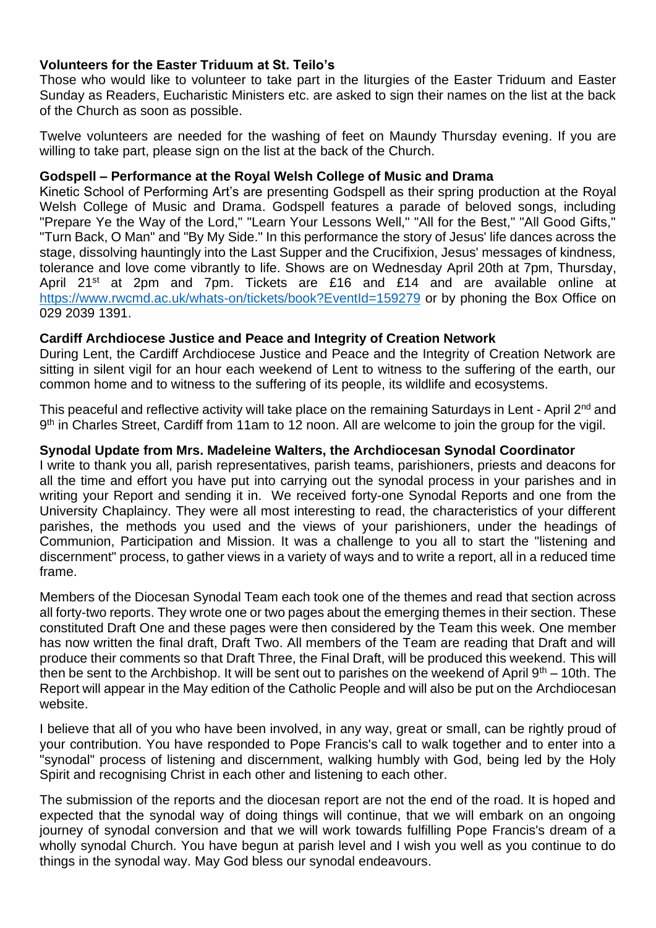# **Volunteers for the Easter Triduum at St. Teilo's**

Those who would like to volunteer to take part in the liturgies of the Easter Triduum and Easter Sunday as Readers, Eucharistic Ministers etc. are asked to sign their names on the list at the back of the Church as soon as possible.

Twelve volunteers are needed for the washing of feet on Maundy Thursday evening. If you are willing to take part, please sign on the list at the back of the Church.

#### **Godspell – Performance at the Royal Welsh College of Music and Drama**

Kinetic School of Performing Art's are presenting Godspell as their spring production at the Royal Welsh College of Music and Drama. Godspell features a parade of beloved songs, including "Prepare Ye the Way of the Lord," "Learn Your Lessons Well," "All for the Best," "All Good Gifts," "Turn Back, O Man" and "By My Side." In this performance the story of Jesus' life dances across the stage, dissolving hauntingly into the Last Supper and the Crucifixion, Jesus' messages of kindness, tolerance and love come vibrantly to life. Shows are on Wednesday April 20th at 7pm, Thursday, April 21<sup>st</sup> at 2pm and 7pm. Tickets are £16 and £14 and are available online at <https://www.rwcmd.ac.uk/whats-on/tickets/book?EventId=159279> or by phoning the Box Office on 029 2039 1391.

# **Cardiff Archdiocese Justice and Peace and Integrity of Creation Network**

During Lent, the Cardiff Archdiocese Justice and Peace and the Integrity of Creation Network are sitting in silent vigil for an hour each weekend of Lent to witness to the suffering of the earth, our common home and to witness to the suffering of its people, its wildlife and ecosystems.

This peaceful and reflective activity will take place on the remaining Saturdays in Lent - April 2<sup>nd</sup> and 9<sup>th</sup> in Charles Street, Cardiff from 11am to 12 noon. All are welcome to join the group for the vigil.

# **Synodal Update from Mrs. Madeleine Walters, the Archdiocesan Synodal Coordinator**

I write to thank you all, parish representatives, parish teams, parishioners, priests and deacons for all the time and effort you have put into carrying out the synodal process in your parishes and in writing your Report and sending it in. We received forty-one Synodal Reports and one from the University Chaplaincy. They were all most interesting to read, the characteristics of your different parishes, the methods you used and the views of your parishioners, under the headings of Communion, Participation and Mission. It was a challenge to you all to start the "listening and discernment" process, to gather views in a variety of ways and to write a report, all in a reduced time frame.

Members of the Diocesan Synodal Team each took one of the themes and read that section across all forty-two reports. They wrote one or two pages about the emerging themes in their section. These constituted Draft One and these pages were then considered by the Team this week. One member has now written the final draft, Draft Two. All members of the Team are reading that Draft and will produce their comments so that Draft Three, the Final Draft, will be produced this weekend. This will then be sent to the Archbishop. It will be sent out to parishes on the weekend of April  $9<sup>th</sup> - 10$ th. The Report will appear in the May edition of the Catholic People and will also be put on the Archdiocesan website.

I believe that all of you who have been involved, in any way, great or small, can be rightly proud of your contribution. You have responded to Pope Francis's call to walk together and to enter into a "synodal" process of listening and discernment, walking humbly with God, being led by the Holy Spirit and recognising Christ in each other and listening to each other.

The submission of the reports and the diocesan report are not the end of the road. It is hoped and expected that the synodal way of doing things will continue, that we will embark on an ongoing journey of synodal conversion and that we will work towards fulfilling Pope Francis's dream of a wholly synodal Church. You have begun at parish level and I wish you well as you continue to do things in the synodal way. May God bless our synodal endeavours.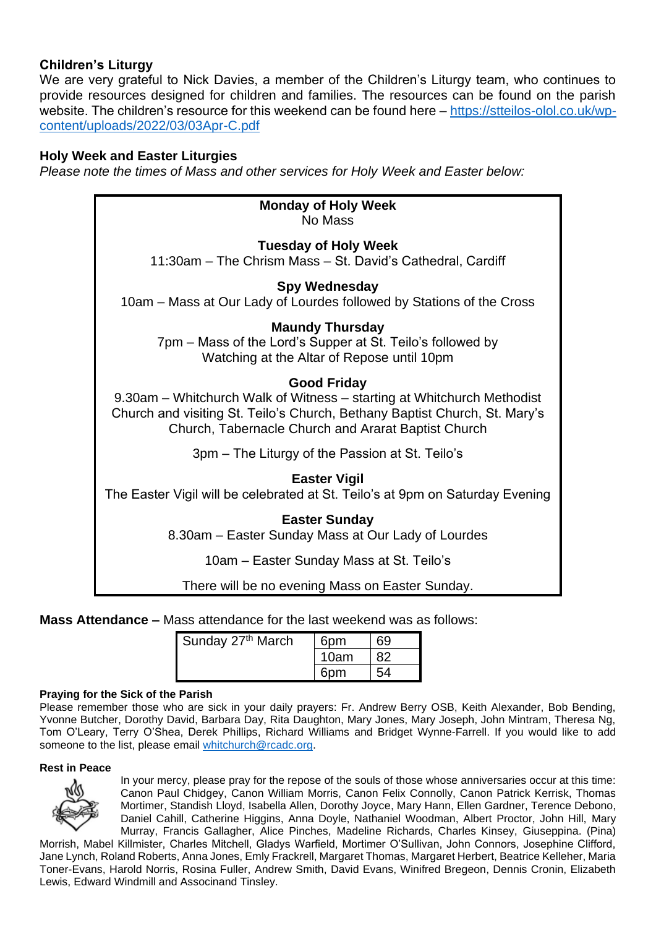# **Children's Liturgy**

We are very grateful to Nick Davies, a member of the Children's Liturgy team, who continues to provide resources designed for children and families. The resources can be found on the parish website. The children's resource for this weekend can be found here – [https://stteilos-olol.co.uk/wp](https://stteilos-olol.co.uk/wp-content/uploads/2022/03/03Apr-C.pdf)[content/uploads/2022/03/03Apr-C.pdf](https://stteilos-olol.co.uk/wp-content/uploads/2022/03/03Apr-C.pdf)

#### **Holy Week and Easter Liturgies**

*Please note the times of Mass and other services for Holy Week and Easter below:*

| <b>Monday of Holy Week</b><br>No Mass                                                                                                                                                                                             |  |  |  |  |
|-----------------------------------------------------------------------------------------------------------------------------------------------------------------------------------------------------------------------------------|--|--|--|--|
| <b>Tuesday of Holy Week</b><br>11:30am - The Chrism Mass - St. David's Cathedral, Cardiff                                                                                                                                         |  |  |  |  |
| <b>Spy Wednesday</b><br>10am – Mass at Our Lady of Lourdes followed by Stations of the Cross                                                                                                                                      |  |  |  |  |
| <b>Maundy Thursday</b><br>7pm – Mass of the Lord's Supper at St. Teilo's followed by<br>Watching at the Altar of Repose until 10pm                                                                                                |  |  |  |  |
| <b>Good Friday</b><br>9.30am – Whitchurch Walk of Witness – starting at Whitchurch Methodist<br>Church and visiting St. Teilo's Church, Bethany Baptist Church, St. Mary's<br>Church, Tabernacle Church and Ararat Baptist Church |  |  |  |  |
| 3pm – The Liturgy of the Passion at St. Teilo's                                                                                                                                                                                   |  |  |  |  |
| <b>Easter Vigil</b><br>The Easter Vigil will be celebrated at St. Teilo's at 9pm on Saturday Evening                                                                                                                              |  |  |  |  |
| <b>Easter Sunday</b><br>8.30am – Easter Sunday Mass at Our Lady of Lourdes                                                                                                                                                        |  |  |  |  |
| 10am – Easter Sunday Mass at St. Teilo's                                                                                                                                                                                          |  |  |  |  |

There will be no evening Mass on Easter Sunday.

**Mass Attendance –** Mass attendance for the last weekend was as follows:

| Sunday 27th March | 6 <sub>pm</sub> | 69 |
|-------------------|-----------------|----|
|                   | 10am            |    |
|                   | 6pm             | 54 |

#### **Praying for the Sick of the Parish**

Please remember those who are sick in your daily prayers: Fr. Andrew Berry OSB, Keith Alexander, Bob Bending, Yvonne Butcher, Dorothy David, Barbara Day, Rita Daughton, Mary Jones, Mary Joseph, John Mintram, Theresa Ng, Tom O'Leary, Terry O'Shea, Derek Phillips, Richard Williams and Bridget Wynne-Farrell. If you would like to add someone to the list, please email [whitchurch@rcadc.org.](mailto:whitchurch@rcadc.org)

#### **Rest in Peace**



In your mercy, please pray for the repose of the souls of those whose anniversaries occur at this time: Canon Paul Chidgey, Canon William Morris, Canon Felix Connolly, Canon Patrick Kerrisk, Thomas Mortimer, Standish Lloyd, Isabella Allen, Dorothy Joyce, Mary Hann, Ellen Gardner, Terence Debono, Daniel Cahill, Catherine Higgins, Anna Doyle, Nathaniel Woodman, Albert Proctor, John Hill, Mary Murray, Francis Gallagher, Alice Pinches, Madeline Richards, Charles Kinsey, Giuseppina. (Pina)

Morrish, Mabel Killmister, Charles Mitchell, Gladys Warfield, Mortimer O'Sullivan, John Connors, Josephine Clifford, Jane Lynch, Roland Roberts, Anna Jones, Emly Frackrell, Margaret Thomas, Margaret Herbert, Beatrice Kelleher, Maria Toner-Evans, Harold Norris, Rosina Fuller, Andrew Smith, David Evans, Winifred Bregeon, Dennis Cronin, Elizabeth Lewis, Edward Windmill and Associnand Tinsley.